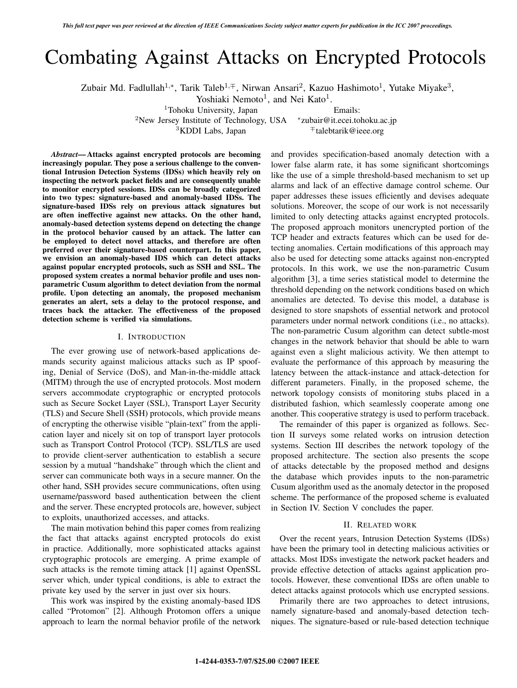# Combating Against Attacks on Encrypted Protocols

Zubair Md. Fadlullah<sup>1,∗</sup>, Tarik Taleb<sup>1,∓</sup>, Nirwan Ansari<sup>2</sup>, Kazuo Hashimoto<sup>1</sup>, Yutake Miyake<sup>3</sup>,

Yoshiaki Nemoto<sup>1</sup>, and Nei Kato<sup>1</sup>.

<sup>1</sup>Tohoku University, Japan Emails:

<sup>2</sup>New Jersey Institute of Technology, USA  $*$ zubair@it.ecei.tohoku.ac.jp

<sup>3</sup>KDDI Labs, Japan <sup>∓</sup>talebtarik@ieee.org

*Abstract***— Attacks against encrypted protocols are becoming increasingly popular. They pose a serious challenge to the conventional Intrusion Detection Systems (IDSs) which heavily rely on inspecting the network packet fields and are consequently unable to monitor encrypted sessions. IDSs can be broadly categorized into two types: signature-based and anomaly-based IDSs. The signature-based IDSs rely on previous attack signatures but are often ineffective against new attacks. On the other hand, anomaly-based detection systems depend on detecting the change in the protocol behavior caused by an attack. The latter can be employed to detect novel attacks, and therefore are often preferred over their signature-based counterpart. In this paper, we envision an anomaly-based IDS which can detect attacks against popular encrypted protocols, such as SSH and SSL. The proposed system creates a normal behavior profile and uses nonparametric Cusum algorithm to detect deviation from the normal profile. Upon detecting an anomaly, the proposed mechanism generates an alert, sets a delay to the protocol response, and traces back the attacker. The effectiveness of the proposed detection scheme is verified via simulations.**

### I. INTRODUCTION

The ever growing use of network-based applications demands security against malicious attacks such as IP spoofing, Denial of Service (DoS), and Man-in-the-middle attack (MITM) through the use of encrypted protocols. Most modern servers accommodate cryptographic or encrypted protocols such as Secure Socket Layer (SSL), Transport Layer Security (TLS) and Secure Shell (SSH) protocols, which provide means of encrypting the otherwise visible "plain-text" from the application layer and nicely sit on top of transport layer protocols such as Transport Control Protocol (TCP). SSL/TLS are used to provide client-server authentication to establish a secure session by a mutual "handshake" through which the client and server can communicate both ways in a secure manner. On the other hand, SSH provides secure communications, often using username/password based authentication between the client and the server. These encrypted protocols are, however, subject to exploits, unauthorized accesses, and attacks.

The main motivation behind this paper comes from realizing the fact that attacks against encrypted protocols do exist in practice. Additionally, more sophisticated attacks against cryptographic protocols are emerging. A prime example of such attacks is the remote timing attack [1] against OpenSSL server which, under typical conditions, is able to extract the private key used by the server in just over six hours.

This work was inspired by the existing anomaly-based IDS called "Protomon" [2]. Although Protomon offers a unique approach to learn the normal behavior profile of the network and provides specification-based anomaly detection with a lower false alarm rate, it has some significant shortcomings like the use of a simple threshold-based mechanism to set up alarms and lack of an effective damage control scheme. Our paper addresses these issues efficiently and devises adequate solutions. Moreover, the scope of our work is not necessarily limited to only detecting attacks against encrypted protocols. The proposed approach monitors unencrypted portion of the TCP header and extracts features which can be used for detecting anomalies. Certain modifications of this approach may also be used for detecting some attacks against non-encrypted protocols. In this work, we use the non-parametric Cusum algorithm [3], a time series statistical model to determine the threshold depending on the network conditions based on which anomalies are detected. To devise this model, a database is designed to store snapshots of essential network and protocol parameters under normal network conditions (i.e., no attacks). The non-parametric Cusum algorithm can detect subtle-most changes in the network behavior that should be able to warn against even a slight malicious activity. We then attempt to evaluate the performance of this approach by measuring the latency between the attack-instance and attack-detection for different parameters. Finally, in the proposed scheme, the network topology consists of monitoring stubs placed in a distributed fashion, which seamlessly cooperate among one another. This cooperative strategy is used to perform traceback.

The remainder of this paper is organized as follows. Section II surveys some related works on intrusion detection systems. Section III describes the network topology of the proposed architecture. The section also presents the scope of attacks detectable by the proposed method and designs the database which provides inputs to the non-parametric Cusum algorithm used as the anomaly detector in the proposed scheme. The performance of the proposed scheme is evaluated in Section IV. Section V concludes the paper.

## II. RELATED WORK

Over the recent years, Intrusion Detection Systems (IDSs) have been the primary tool in detecting malicious activities or attacks. Most IDSs investigate the network packet headers and provide effective detection of attacks against application protocols. However, these conventional IDSs are often unable to detect attacks against protocols which use encrypted sessions.

Primarily there are two approaches to detect intrusions, namely signature-based and anomaly-based detection techniques. The signature-based or rule-based detection technique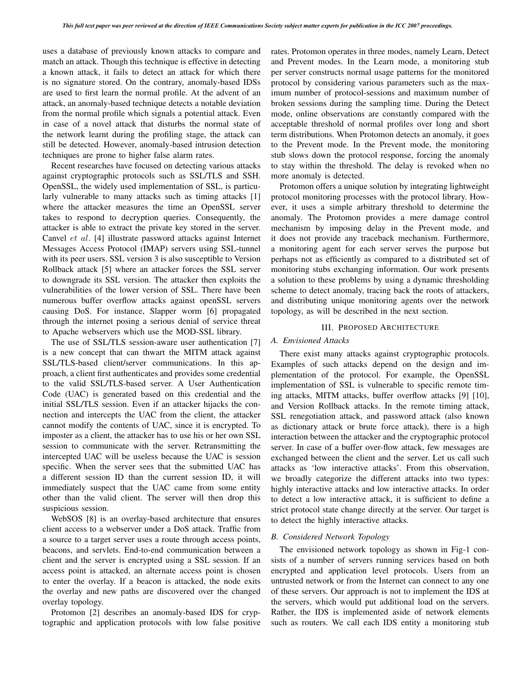uses a database of previously known attacks to compare and match an attack. Though this technique is effective in detecting a known attack, it fails to detect an attack for which there is no signature stored. On the contrary, anomaly-based IDSs are used to first learn the normal profile. At the advent of an attack, an anomaly-based technique detects a notable deviation from the normal profile which signals a potential attack. Even in case of a novel attack that disturbs the normal state of the network learnt during the profiling stage, the attack can still be detected. However, anomaly-based intrusion detection techniques are prone to higher false alarm rates.

Recent researches have focused on detecting various attacks against cryptographic protocols such as SSL/TLS and SSH. OpenSSL, the widely used implementation of SSL, is particularly vulnerable to many attacks such as timing attacks [1] where the attacker measures the time an OpenSSL server takes to respond to decryption queries. Consequently, the attacker is able to extract the private key stored in the server. Canvel et al. [4] illustrate password attacks against Internet Messages Access Protocol (IMAP) servers using SSL-tunnel with its peer users. SSL version 3 is also susceptible to Version Rollback attack [5] where an attacker forces the SSL server to downgrade its SSL version. The attacker then exploits the vulnerabilities of the lower version of SSL. There have been numerous buffer overflow attacks against openSSL servers causing DoS. For instance, Slapper worm [6] propagated through the internet posing a serious denial of service threat to Apache webservers which use the MOD-SSL library.

The use of SSL/TLS session-aware user authentication [7] is a new concept that can thwart the MITM attack against SSL/TLS-based client/server communications. In this approach, a client first authenticates and provides some credential to the valid SSL/TLS-based server. A User Authentication Code (UAC) is generated based on this credential and the initial SSL/TLS session. Even if an attacker hijacks the connection and intercepts the UAC from the client, the attacker cannot modify the contents of UAC, since it is encrypted. To imposter as a client, the attacker has to use his or her own SSL session to communicate with the server. Retransmitting the intercepted UAC will be useless because the UAC is session specific. When the server sees that the submitted UAC has a different session ID than the current session ID, it will immediately suspect that the UAC came from some entity other than the valid client. The server will then drop this suspicious session.

WebSOS [8] is an overlay-based architecture that ensures client access to a webserver under a DoS attack. Traffic from a source to a target server uses a route through access points, beacons, and servlets. End-to-end communication between a client and the server is encrypted using a SSL session. If an access point is attacked, an alternate access point is chosen to enter the overlay. If a beacon is attacked, the node exits the overlay and new paths are discovered over the changed overlay topology.

Protomon [2] describes an anomaly-based IDS for cryptographic and application protocols with low false positive rates. Protomon operates in three modes, namely Learn, Detect and Prevent modes. In the Learn mode, a monitoring stub per server constructs normal usage patterns for the monitored protocol by considering various parameters such as the maximum number of protocol-sessions and maximum number of broken sessions during the sampling time. During the Detect mode, online observations are constantly compared with the acceptable threshold of normal profiles over long and short term distributions. When Protomon detects an anomaly, it goes to the Prevent mode. In the Prevent mode, the monitoring stub slows down the protocol response, forcing the anomaly to stay within the threshold. The delay is revoked when no more anomaly is detected.

Protomon offers a unique solution by integrating lightweight protocol monitoring processes with the protocol library. However, it uses a simple arbitrary threshold to determine the anomaly. The Protomon provides a mere damage control mechanism by imposing delay in the Prevent mode, and it does not provide any traceback mechanism. Furthermore, a monitoring agent for each server serves the purpose but perhaps not as efficiently as compared to a distributed set of monitoring stubs exchanging information. Our work presents a solution to these problems by using a dynamic thresholding scheme to detect anomaly, tracing back the roots of attackers, and distributing unique monitoring agents over the network topology, as will be described in the next section.

#### III. PROPOSED ARCHITECTURE

# *A. Envisioned Attacks*

There exist many attacks against cryptographic protocols. Examples of such attacks depend on the design and implementation of the protocol. For example, the OpenSSL implementation of SSL is vulnerable to specific remote timing attacks, MITM attacks, buffer overflow attacks [9] [10], and Version Rollback attacks. In the remote timing attack, SSL renegotiation attack, and password attack (also known as dictionary attack or brute force attack), there is a high interaction between the attacker and the cryptographic protocol server. In case of a buffer over-flow attack, few messages are exchanged between the client and the server. Let us call such attacks as 'low interactive attacks'. From this observation, we broadly categorize the different attacks into two types: highly interactive attacks and low interactive attacks. In order to detect a low interactive attack, it is sufficient to define a strict protocol state change directly at the server. Our target is to detect the highly interactive attacks.

# *B. Considered Network Topology*

The envisioned network topology as shown in Fig-1 consists of a number of servers running services based on both encrypted and application level protocols. Users from an untrusted network or from the Internet can connect to any one of these servers. Our approach is not to implement the IDS at the servers, which would put additional load on the servers. Rather, the IDS is implemented aside of network elements such as routers. We call each IDS entity a monitoring stub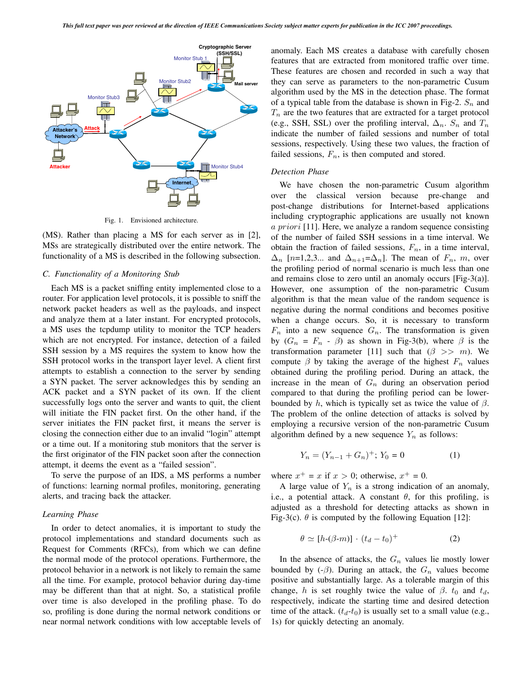

Fig. 1. Envisioned architecture.

(MS). Rather than placing a MS for each server as in [2], MSs are strategically distributed over the entire network. The functionality of a MS is described in the following subsection.

## *C. Functionality of a Monitoring Stub*

Each MS is a packet sniffing entity implemented close to a router. For application level protocols, it is possible to sniff the network packet headers as well as the payloads, and inspect and analyze them at a later instant. For encrypted protocols, a MS uses the tcpdump utility to monitor the TCP headers which are not encrypted. For instance, detection of a failed SSH session by a MS requires the system to know how the SSH protocol works in the transport layer level. A client first attempts to establish a connection to the server by sending a SYN packet. The server acknowledges this by sending an ACK packet and a SYN packet of its own. If the client successfully logs onto the server and wants to quit, the client will initiate the FIN packet first. On the other hand, if the server initiates the FIN packet first, it means the server is closing the connection either due to an invalid "login" attempt or a time out. If a monitoring stub monitors that the server is the first originator of the FIN packet soon after the connection attempt, it deems the event as a "failed session".

To serve the purpose of an IDS, a MS performs a number of functions: learning normal profiles, monitoring, generating alerts, and tracing back the attacker.

# *Learning Phase*

In order to detect anomalies, it is important to study the protocol implementations and standard documents such as Request for Comments (RFCs), from which we can define the normal mode of the protocol operations. Furthermore, the protocol behavior in a network is not likely to remain the same all the time. For example, protocol behavior during day-time may be different than that at night. So, a statistical profile over time is also developed in the profiling phase. To do so, profiling is done during the normal network conditions or near normal network conditions with low acceptable levels of

anomaly. Each MS creates a database with carefully chosen features that are extracted from monitored traffic over time. These features are chosen and recorded in such a way that they can serve as parameters to the non-parametric Cusum algorithm used by the MS in the detection phase. The format of a typical table from the database is shown in Fig-2. S*<sup>n</sup>* and  $T_n$  are the two features that are extracted for a target protocol (e.g., SSH, SSL) over the profiling interval,  $\Delta_n$ .  $S_n$  and  $T_n$ indicate the number of failed sessions and number of total sessions, respectively. Using these two values, the fraction of failed sessions,  $F_n$ , is then computed and stored.

# *Detection Phase*

We have chosen the non-parametric Cusum algorithm over the classical version because pre-change and post-change distributions for Internet-based applications including cryptographic applications are usually not known a priori [11]. Here, we analyze a random sequence consisting of the number of failed SSH sessions in a time interval. We obtain the fraction of failed sessions,  $F_n$ , in a time interval,  $\Delta_n$  [n=1,2,3... and  $\Delta_{n+1}=\Delta_n$ ]. The mean of  $F_n$ , m, over the profiling period of normal scenario is much less than one and remains close to zero until an anomaly occurs [Fig-3(a)]. However, one assumption of the non-parametric Cusum algorithm is that the mean value of the random sequence is negative during the normal conditions and becomes positive when a change occurs. So, it is necessary to transform  $F_n$  into a new sequence  $G_n$ . The transformation is given by  $(G_n = F_n - \beta)$  as shown in Fig-3(b), where  $\beta$  is the transformation parameter [11] such that  $(\beta \gg m)$ . We compute  $\beta$  by taking the average of the highest  $F_n$  values obtained during the profiling period. During an attack, the increase in the mean of G*<sup>n</sup>* during an observation period compared to that during the profiling period can be lowerbounded by h, which is typically set as twice the value of  $\beta$ . The problem of the online detection of attacks is solved by employing a recursive version of the non-parametric Cusum algorithm defined by a new sequence  $Y_n$  as follows:

$$
Y_n = (Y_{n-1} + G_n)^+; Y_0 = 0 \tag{1}
$$

where  $x^+ = x$  if  $x > 0$ ; otherwise,  $x^+ = 0$ .

A large value of  $Y_n$  is a strong indication of an anomaly, i.e., a potential attack. A constant  $\theta$ , for this profiling, is adjusted as a threshold for detecting attacks as shown in Fig-3(c).  $\theta$  is computed by the following Equation [12]:

$$
\theta \simeq [h\text{-}(\beta\text{-}m)] \cdot (t_d - t_0)^{+} \tag{2}
$$

In the absence of attacks, the  $G_n$  values lie mostly lower bounded by  $(-\beta)$ . During an attack, the  $G_n$  values become positive and substantially large. As a tolerable margin of this change, h is set roughly twice the value of  $\beta$ .  $t_0$  and  $t_d$ , respectively, indicate the starting time and desired detection time of the attack.  $(t_d-t_0)$  is usually set to a small value (e.g., 1s) for quickly detecting an anomaly.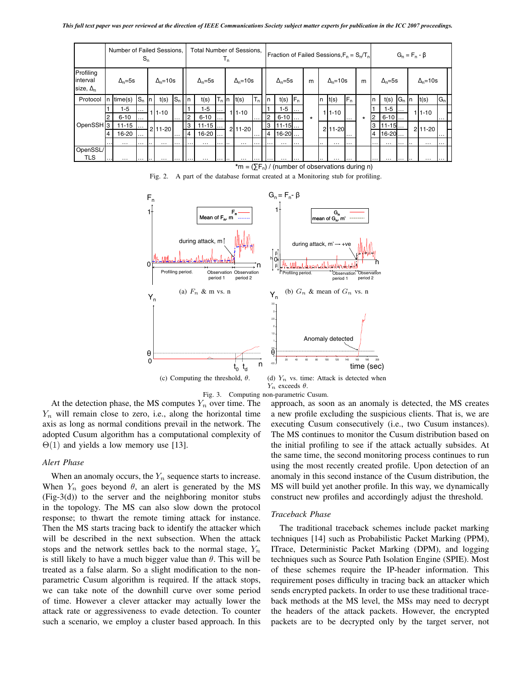|                                            | Number of Failed Sessions.<br>$S_n$ |                 |          |     |                  | Total Number of Sessions,<br>եր |    |                           |           |                      |                  |               | Fraction of Failed Sessions, $F_n = S_n / T_n$ |                 |          |         |           |                  |          | $G_n = F_n - \beta$ |          |                 |           |                      |                  |          |
|--------------------------------------------|-------------------------------------|-----------------|----------|-----|------------------|---------------------------------|----|---------------------------|-----------|----------------------|------------------|---------------|------------------------------------------------|-----------------|----------|---------|-----------|------------------|----------|---------------------|----------|-----------------|-----------|----------------------|------------------|----------|
| Profiling<br>linterval<br>size, $\Delta_n$ |                                     | $\Delta_n = 5s$ |          |     | $\Delta_n = 10s$ |                                 |    | $\Delta$ <sub>n</sub> =5s |           |                      | $\Delta_n = 10s$ |               |                                                | $\Delta_n = 5s$ |          | m       |           | $\Delta_n = 10s$ |          | m                   |          | $\Delta_n = 5s$ |           |                      | $\Delta_n = 10s$ |          |
| Protocol                                   |                                     | $n$ time(s)     | $S_n$    | -In | t(s)             | $S_n$                           |    | t(s)                      | $T_n \ln$ |                      | t(s)             | $T_n$         |                                                | t(s)            | $F_n$    |         | In        | t(s)             | $F_n$    |                     |          | t(s)            | $ G_n $ n |                      | t(s)             | $G_{n}$  |
|                                            |                                     | 1-5             | $\cdots$ |     | $11 - 10$        |                                 |    | 1-5                       | .         |                      | $11 - 10$        |               |                                                | 1-5             | $\cdots$ |         |           | $11 - 10$        |          |                     |          | 1-5             |           |                      | $11 - 10$        |          |
|                                            |                                     | $6 - 10$        |          |     |                  | $\cdots$                        | .2 | $6 - 10$                  |           |                      |                  |               | 2                                              | $6-10$          |          | $\star$ |           |                  | $\cdots$ | $\star$             | 2        | $6 - 10$        |           |                      |                  |          |
| OpenSSH <sub>3</sub>                       |                                     | $11 - 15$       | $\cdots$ |     | $211 - 20$       |                                 | 13 | $11 - 15$                 | $\cdots$  |                      | 2 11-20          |               | 13                                             | $11 - 15$       |          |         |           | 2 11-20          |          |                     | 3        | $11 - 15$       |           |                      | $2 11-20 $       |          |
|                                            |                                     | 16-20           | $\cdots$ |     |                  | $\cdots$                        | 14 | 16-20                     |           |                      |                  | .             | 14                                             | $16 - 20$       |          |         |           |                  | $\cdots$ |                     | 4        | $16 - 20$       |           |                      |                  | $\cdots$ |
|                                            | .                                   | $\cdots$        | $\cdots$ | .   | $\cdots$         | $\sim$ $\sim$ $\sim$            | .  | $\cdots$                  | .         | $\ddotsc$            | $\cdots$         | <b>Anne 1</b> | $\cdots$                                       | $\cdots$        | $\cdots$ |         | $\ddotsc$ | $\cdots$         | .        |                     | $\cdots$ | $\cdots$        | $\cdots$  | $\ddot{\phantom{a}}$ | $\cdots$         | $\cdots$ |
| OpenSSL/<br>TLS                            |                                     | $\cdots$        | $\cdots$ | .   | $\cdots$         |                                 |    | $\cdots$                  |           | $\ddot{\phantom{0}}$ | $\cdots$         |               |                                                | $\cdots$        | .        |         |           | $\cdots$         | $\cdots$ |                     |          | $\cdots$        |           |                      | $\cdots$         |          |

**\***m = (∑Fn) / (number of observations during n)

Fig. 2. A part of the database format created at a Monitoring stub for profiling.



Fig. 3. Computing non-parametric Cusum.

At the detection phase, the MS computes  $Y_n$  over time. The  $Y_n$  will remain close to zero, i.e., along the horizontal time axis as long as normal conditions prevail in the network. The adopted Cusum algorithm has a computational complexity of  $\Theta(1)$  and yields a low memory use [13].

# *Alert Phase*

When an anomaly occurs, the  $Y_n$  sequence starts to increase. When  $Y_n$  goes beyond  $\theta$ , an alert is generated by the MS (Fig-3(d)) to the server and the neighboring monitor stubs in the topology. The MS can also slow down the protocol response; to thwart the remote timing attack for instance. Then the MS starts tracing back to identify the attacker which will be described in the next subsection. When the attack stops and the network settles back to the normal stage, Y*<sup>n</sup>* is still likely to have a much bigger value than  $\theta$ . This will be treated as a false alarm. So a slight modification to the nonparametric Cusum algorithm is required. If the attack stops, we can take note of the downhill curve over some period of time. However a clever attacker may actually lower the attack rate or aggressiveness to evade detection. To counter such a scenario, we employ a cluster based approach. In this

approach, as soon as an anomaly is detected, the MS creates a new profile excluding the suspicious clients. That is, we are executing Cusum consecutively (i.e., two Cusum instances). The MS continues to monitor the Cusum distribution based on the initial profiling to see if the attack actually subsides. At the same time, the second monitoring process continues to run using the most recently created profile. Upon detection of an anomaly in this second instance of the Cusum distribution, the MS will build yet another profile. In this way, we dynamically construct new profiles and accordingly adjust the threshold.

## *Traceback Phase*

The traditional traceback schemes include packet marking techniques [14] such as Probabilistic Packet Marking (PPM), ITrace, Deterministic Packet Marking (DPM), and logging techniques such as Source Path Isolation Engine (SPIE). Most of these schemes require the IP-header information. This requirement poses difficulty in tracing back an attacker which sends encrypted packets. In order to use these traditional traceback methods at the MS level, the MSs may need to decrypt the headers of the attack packets. However, the encrypted packets are to be decrypted only by the target server, not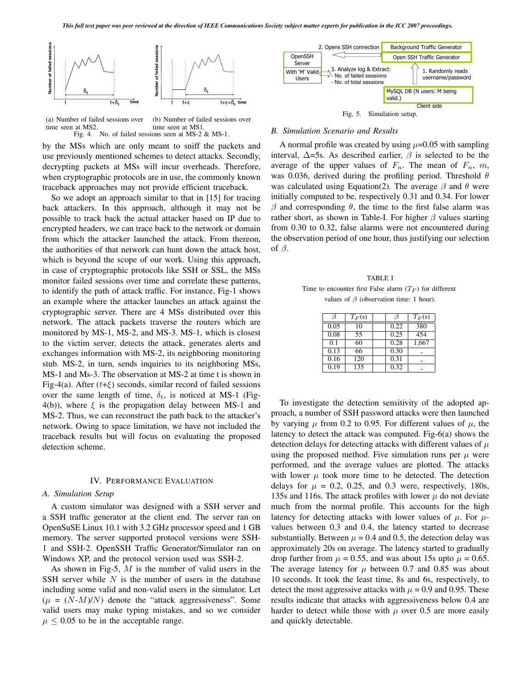

(a) Number of failed sessions over time seen at MS2. (b) Number of failed sessions over time seen at MS1 Fig. 4. No. of failed sessions seen at MS-2 & MS-1.

by the MSs which are only meant to sniff the packets and use previously mentioned schemes to detect attacks. Secondly, decrypting packets at MSs will incur overheads. Therefore, when cryptographic protocols are in use, the commonly known traceback approaches may not provide efficient traceback.

So we adopt an approach similar to that in [15] for tracing back attackers. In this approach, although it may not be possible to track back the actual attacker based on IP due to encrypted headers, we can trace back to the network or domain from which the attacker launched the attack. From thereon, the authorities of that network can hunt down the attack host, which is beyond the scope of our work. Using this approach, in case of cryptographic protocols like SSH or SSL, the MSs monitor failed sessions over time and correlate these patterns, to identify the path of attack traffic. For instance, Fig-1 shows an example where the attacker launches an attack against the cryptographic server. There are 4 MSs distributed over this network. The attack packets traverse the routers which are monitored by MS-1, MS-2, and MS-3. MS-1, which is closest to the victim server, detects the attack, generates alerts and exchanges information with MS-2, its neighboring monitoring stub. MS-2, in turn, sends inquiries to its neighboring MSs, MS-1 and Ms-3. The observation at MS-2 at time t is shown in Fig-4(a). After  $(t+\xi)$  seconds, similar record of failed sessions over the same length of time,  $\delta_t$ , is noticed at MS-1 (Fig-4(b)), where  $\xi$  is the propagation delay between MS-1 and MS-2. Thus, we can reconstruct the path back to the attacker's network. Owing to space limitation, we have not included the traceback results but will focus on evaluating the proposed detection scheme.

#### IV. PERFORMANCE EVALUATION

#### *A. Simulation Setup*

A custom simulator was designed with a SSH server and a SSH traffic generator at the client end. The server ran on OpenSuSE Linux 10.1 with 3.2 GHz processor speed and 1 GB memory. The server supported protocol versions were SSH-1 and SSH-2. OpenSSH Traffic Generator/Simulator ran on Windows XP, and the protocol version used was SSH-2.

As shown in Fig-5,  $M$  is the number of valid users in the SSH server while  $N$  is the number of users in the database including some valid and non-valid users in the simulator. Let  $(\mu = (N-M)/N)$  denote the "attack aggressiveness". Some valid users may make typing mistakes, and so we consider  $\mu \leq 0.05$  to be in the acceptable range.



#### *B. Simulation Scenario and Results*

A normal profile was created by using  $\mu$ =0.05 with sampling interval,  $\Delta$ =5s. As described earlier,  $\beta$  is selected to be the average of the upper values of  $F_n$ . The mean of  $F_n$ ,  $m$ , was 0.036, derived during the profiling period. Threshold  $\theta$ was calculated using Equation(2). The average  $\beta$  and  $\theta$  were initially computed to be, respectively 0.31 and 0.34. For lower  $β$  and corresponding  $θ$ , the time to the first false alarm was rather short, as shown in Table-I. For higher  $\beta$  values starting from 0.30 to 0.32, false alarms were not encountered during the observation period of one hour, thus justifying our selection of  $\beta$ .

TABLE I Time to encounter first False alarm  $(T_F)$  for different values of  $\beta$  (observation time: 1 hour).

|      | $T_F(s)$ |                   | $T_F(s)$ |
|------|----------|-------------------|----------|
| 0.05 | 10       | 0.22              | 380      |
| 0.08 | 55       | 0.25              | 454      |
| 0.1  | 60       | 0.28              | 1,667    |
| 0.13 | 66       | $0.\overline{30}$ |          |
| 0.16 | 120      | 0.31              |          |
| 0.19 | 135      | 0.32              |          |

To investigate the detection sensitivity of the adopted approach, a number of SSH password attacks were then launched by varying  $\mu$  from 0.2 to 0.95. For different values of  $\mu$ , the latency to detect the attack was computed. Fig-6(a) shows the detection delays for detecting attacks with different values of  $\mu$ using the proposed method. Five simulation runs per  $\mu$  were performed, and the average values are plotted. The attacks with lower  $\mu$  took more time to be detected. The detection delays for  $\mu = 0.2$ , 0.25, and 0.3 were, respectively, 180s, 135s and 116s. The attack profiles with lower  $\mu$  do not deviate much from the normal profile. This accounts for the high latency for detecting attacks with lower values of  $\mu$ . For  $\mu$ values between 0.3 and 0.4, the latency started to decrease substantially. Between  $\mu = 0.4$  and 0.5, the detection delay was approximately 20s on average. The latency started to gradually drop further from  $\mu = 0.55$ , and was about 15s upto  $\mu = 0.65$ . The average latency for  $\mu$  between 0.7 and 0.85 was about 10 seconds. It took the least time, 8s and 6s, respectively, to detect the most aggressive attacks with  $\mu$  = 0.9 and 0.95. These results indicate that attacks with aggressiveness below 0.4 are harder to detect while those with  $\mu$  over 0.5 are more easily and quickly detectable.